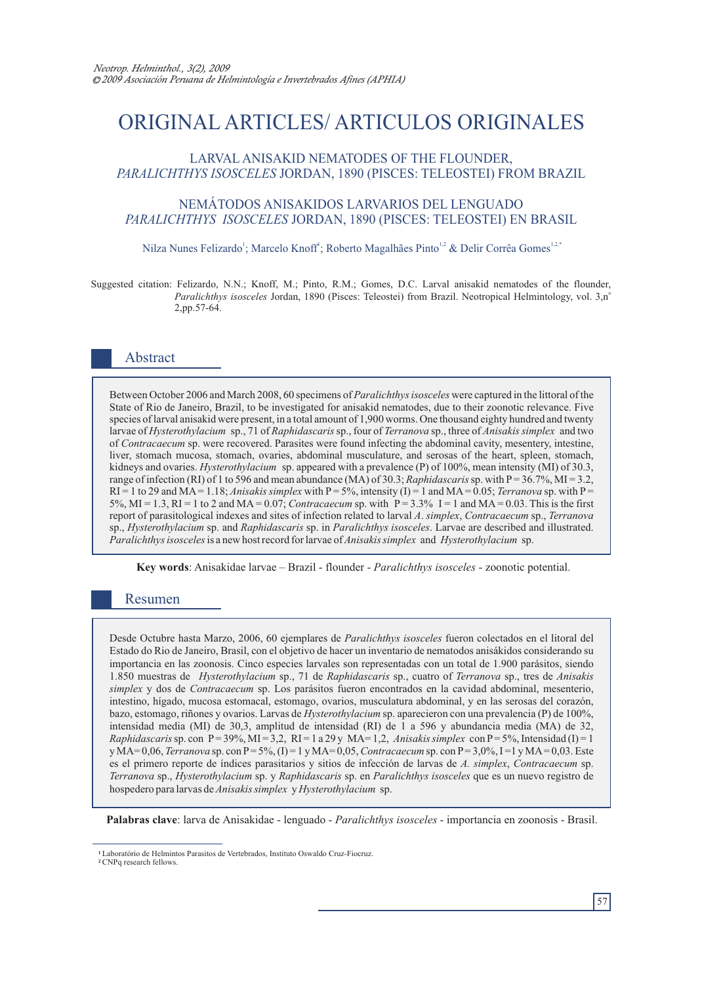# ORIGINAL ARTICLES/ ARTICULOS ORIGINALES

#### LARVAL ANISAKID NEMATODES OF THE FLOUNDER, *PARALICHTHYS ISOSCELES* JORDAN, 1890 (PISCES: TELEOSTEI) FROM BRAZIL

#### NEMÁTODOS ANISAKIDOS LARVARIOS DEL LENGUADO *PARALICHTHYS ISOSCELES* JORDAN, 1890 (PISCES: TELEOSTEI) EN BRASIL

#### Nilza Nunes Felizardo<sup>1</sup>; Marcelo Knoff<sup>1</sup>; Roberto Magalhães Pinto<sup>1,2</sup> & Delir Corrêa Gomes<sup>1,2,\*</sup>

Suggested citation: Felizardo, N.N.; Knoff, M.; Pinto, R.M.; Gomes, D.C. Larval anisakid nematodes of the flounder, Paralichthys isosceles Jordan, 1890 (Pisces: Teleostei) from Brazil. Neotropical Helmintology, vol. 3,nº 2,pp.57-64.

#### Abstract

Between October 2006 and March 2008, 60 specimens of *Paralichthys isosceles* were captured in the littoral of the State of Rio de Janeiro, Brazil, to be investigated for anisakid nematodes, due to their zoonotic relevance. Five species of larval anisakid were present, in a total amount of 1,900 worms. One thousand eighty hundred and twenty larvae of *Hysterothylacium* sp., 71 of *Raphidascaris*sp., four of *Terranova* sp., three of *Anisakissimplex* and two of *Contracaecum* sp. were recovered. Parasites were found infecting the abdominal cavity, mesentery, intestine, liver, stomach mucosa, stomach, ovaries, abdominal musculature, and serosas of the heart, spleen, stomach, kidneys and ovaries. *Hysterothylacium* sp. appeared with a prevalence (P) of 100%, mean intensity (MI) of 30.3, range of infection (RI) of 1 to 596 and mean abundance (MA) of 30.3; *Raphidascaris* sp. with P= 36.7%, MI = 3.2,  $RI = 1$  to 29 and MA = 1.18; *Anisakis simplex* with  $P = 5\%$ , intensity (I) = 1 and MA = 0.05; *Terranova* sp. with  $P = 1$ 5%, MI = 1.3, RI = 1 to 2 and MA = 0.07; *Contracaecum* sp. with P = 3.3% I = 1 and MA = 0.03. This is the first report of parasitological indexes and sites of infection related to larval *A*. *simplex*, *Contracaecum* sp., *Terranova* sp., *Hysterothylacium* sp. and *Raphidascaris* sp. in *Paralichthys isosceles*. Larvae are described and illustrated. *Paralichthys isosceles*is a new host record for larvae of *Anisakis simplex* and *Hysterothylacium* sp.

**Key words**: Anisakidae larvae – Brazil - flounder - *Paralichthys isosceles* - zoonotic potential.

## Resumen

Desde Octubre hasta Marzo, 2006, 60 ejemplares de *Paralichthys isosceles* fueron colectados en el litoral del Estado do Rio de Janeiro, Brasil, con el objetivo de hacer un inventario de nematodos anisákidos considerando su importancia en las zoonosis. Cinco especies larvales son representadas con un total de 1.900 parásitos, siendo 1.850 muestras de *Hysterothylacium* sp., 71 de *Raphidascaris* sp., cuatro of *Terranova* sp., tres de *Anisakis simplex* y dos de *Contracaecum* sp. Los parásitos fueron encontrados en la cavidad abdominal, mesenterio, intestino, hígado, mucosa estomacal, estomago, ovarios, musculatura abdominal, y en las serosas del corazón, bazo, estomago, riñones y ovarios. Larvas de *Hysterothylacium* sp. aparecieron con una prevalencia (P) de 100%, intensidad media (MI) de 30,3, amplitud de intensidad (RI) de 1 a 596 y abundancia media (MA) de 32, *Raphidascaris* sp. con P= 39%, MI = 3,2, RI = 1 a 29 y MA= 1,2, *Anisakis simplex* con P= 5%, Intensidad (I) = 1 y MA= 0,06, *Terranova* sp. con P= 5%, (I) = 1 y MA= 0,05, *Contracaecum* sp. con P= 3,0%, I =1 y MA= 0,03. Este es el primero reporte de índices parasitarios y sitios de infección de larvas de *A. simplex*, *Contracaecum* sp. *Terranova* sp., *Hysterothylacium* sp. y *Raphidascaris* sp. en *Paralichthys isosceles* que es un nuevo registro de hospedero para larvas de *Anisakis simplex* y *Hysterothylacium* sp.

**Palabras clave**: larva de Anisakidae - lenguado - *Paralichthys isosceles* - importancia en zoonosis - Brasil.

Laboratório de Helmintos Parasitos de Vertebrados, Instituto Oswaldo Cruz-Fiocruz. **1**

CNPq research fellows. **2**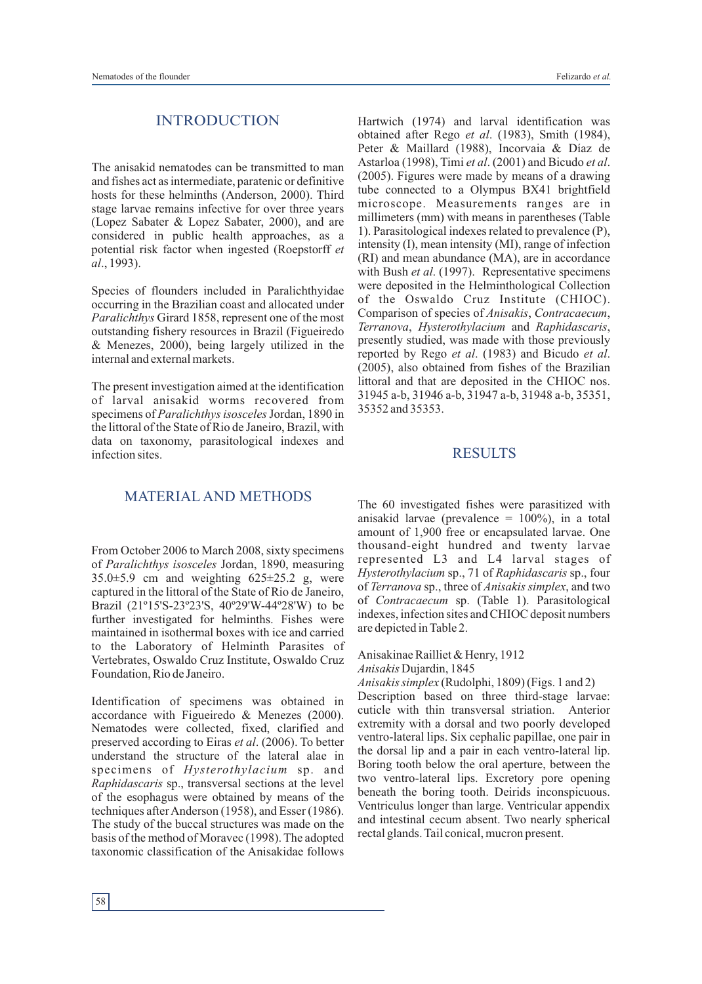#### INTRODUCTION

The anisakid nematodes can be transmitted to man and fishes act as intermediate, paratenic or definitive hosts for these helminths (Anderson, 2000). Third stage larvae remains infective for over three years (Lopez Sabater & Lopez Sabater, 2000), and are considered in public health approaches, as a potential risk factor when ingested (Roepstorff *et al*., 1993).

Species of flounders included in Paralichthyidae occurring in the Brazilian coast and allocated under *Paralichthys* Girard 1858, represent one of the most outstanding fishery resources in Brazil (Figueiredo & Menezes, 2000), being largely utilized in the internal and external markets.

The present investigation aimed at the identification of larval anisakid worms recovered from specimens of *Paralichthys isosceles* Jordan, 1890 in the littoral of the State of Rio de Janeiro, Brazil, with data on taxonomy, parasitological indexes and infection sites.

Hartwich (1974) and larval identification was obtained after Rego *et al*. (1983), Smith (1984), Peter & Maillard (1988), Incorvaia & Díaz de Astarloa (1998), Timi *et al*. (2001) and Bicudo *et al*. (2005). Figures were made by means of a drawing tube connected to a Olympus BX41 brightfield microscope. Measurements ranges are in millimeters (mm) with means in parentheses (Table 1). Parasitological indexes related to prevalence (P), intensity (I), mean intensity (MI), range of infection (RI) and mean abundance (MA), are in accordance with Bush *et al.* (1997). Representative specimens were deposited in the Helminthological Collection of the Oswaldo Cruz Institute (CHIOC). Comparison of species of *Anisakis*, *Contracaecum*, *Terranova*, *Hysterothylacium* and *Raphidascaris*, presently studied, was made with those previously reported by Rego *et al*. (1983) and Bicudo *et al*. (2005), also obtained from fishes of the Brazilian littoral and that are deposited in the CHIOC nos. 31945 a-b, 31946 a-b, 31947 a-b, 31948 a-b, 35351, 35352 and 35353.

#### RESULTS

## MATERIAL AND METHODS

From October 2006 to March 2008, sixty specimens of *Paralichthys isosceles* Jordan, 1890, measuring  $35.0\pm5.9$  cm and weighting  $625\pm25.2$  g, were captured in the littoral of the State of Rio de Janeiro, Brazil (21º15'S-23º23'S, 40º29'W-44º28'W) to be further investigated for helminths. Fishes were maintained in isothermal boxes with ice and carried to the Laboratory of Helminth Parasites of Vertebrates, Oswaldo Cruz Institute, Oswaldo Cruz Foundation, Rio de Janeiro.

Identification of specimens was obtained in accordance with Figueiredo & Menezes (2000). Nematodes were collected, fixed, clarified and preserved according to Eiras *et al*. (2006). To better understand the structure of the lateral alae in specimens of *Hysterothylacium* sp. and *Raphidascaris* sp., transversal sections at the level of the esophagus were obtained by means of the techniques after Anderson (1958), and Esser (1986). The study of the buccal structures was made on the basis of the method of Moravec (1998). The adopted taxonomic classification of the Anisakidae follows

The 60 investigated fishes were parasitized with anisakid larvae (prevalence = 100%), in a total amount of 1,900 free or encapsulated larvae. One thousand-eight hundred and twenty larvae represented L3 and L4 larval stages of *Hysterothylacium* sp., 71 of *Raphidascaris* sp., four of *Terranova* sp., three of *Anisakis simplex*, and two of *Contracaecum* sp. (Table 1). Parasitological indexes, infection sites and CHIOC deposit numbers are depicted in Table 2.

Anisakinae Railliet & Henry, 1912

*Anisakis* Dujardin, 1845

*Anisakis simplex* (Rudolphi, 1809) (Figs. 1 and 2) Description based on three third-stage larvae: cuticle with thin transversal striation. Anterior extremity with a dorsal and two poorly developed ventro-lateral lips. Six cephalic papillae, one pair in the dorsal lip and a pair in each ventro-lateral lip. Boring tooth below the oral aperture, between the two ventro-lateral lips. Excretory pore opening beneath the boring tooth. Deirids inconspicuous. Ventriculus longer than large. Ventricular appendix and intestinal cecum absent. Two nearly spherical rectal glands. Tail conical, mucron present.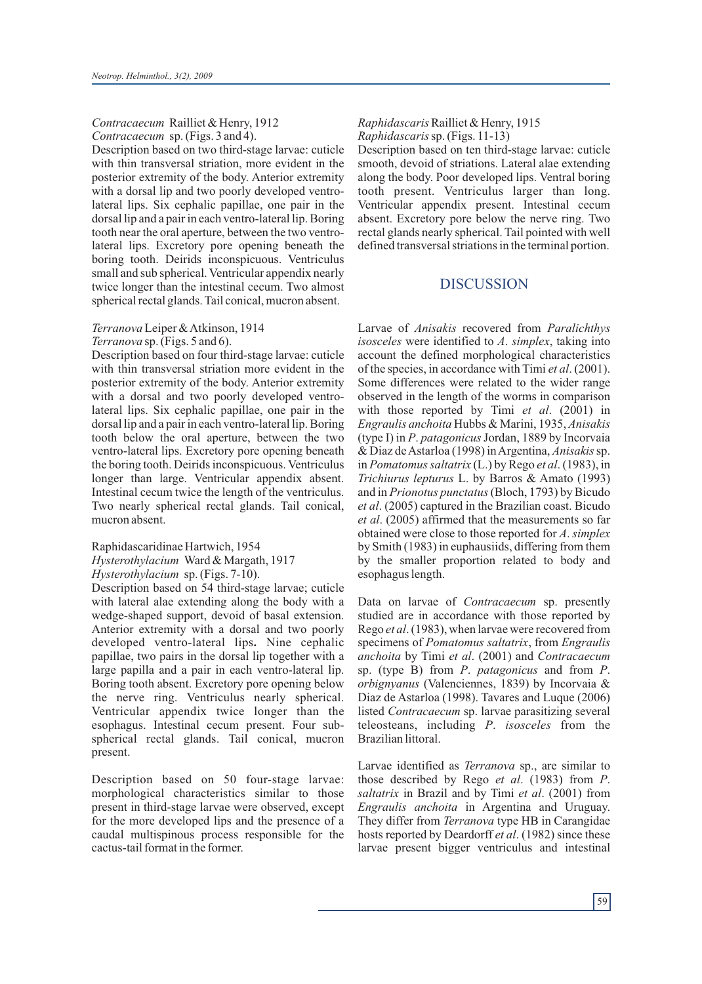#### *Contracaecum* Railliet & Henry, 1912 *Contracaecum* sp. (Figs. 3 and 4).

Description based on two third-stage larvae: cuticle with thin transversal striation, more evident in the posterior extremity of the body. Anterior extremity with a dorsal lip and two poorly developed ventrolateral lips. Six cephalic papillae, one pair in the dorsal lip and a pair in each ventro-lateral lip. Boring tooth near the oral aperture, between the two ventrolateral lips. Excretory pore opening beneath the boring tooth. Deirids inconspicuous. Ventriculus small and sub spherical. Ventricular appendix nearly twice longer than the intestinal cecum. Two almost spherical rectal glands. Tail conical, mucron absent.

## *Terranova*Leiper & Atkinson, 1914

*Terranova* sp. (Figs. 5 and 6).

Description based on four third-stage larvae: cuticle with thin transversal striation more evident in the posterior extremity of the body. Anterior extremity with a dorsal and two poorly developed ventrolateral lips. Six cephalic papillae, one pair in the dorsal lip and a pair in each ventro-lateral lip. Boring tooth below the oral aperture, between the two ventro-lateral lips. Excretory pore opening beneath the boring tooth. Deirids inconspicuous. Ventriculus longer than large. Ventricular appendix absent. Intestinal cecum twice the length of the ventriculus. Two nearly spherical rectal glands. Tail conical, mucron absent.

#### Raphidascaridinae Hartwich, 1954 *Hysterothylacium* Ward & Margath, 1917

*Hysterothylacium* sp. (Figs. 7-10).

Description based on 54 third-stage larvae; cuticle with lateral alae extending along the body with a wedge-shaped support, devoid of basal extension. Anterior extremity with a dorsal and two poorly developed ventro-lateral lips**.** Nine cephalic papillae, two pairs in the dorsal lip together with a large papilla and a pair in each ventro-lateral lip. Boring tooth absent. Excretory pore opening below the nerve ring. Ventriculus nearly spherical. Ventricular appendix twice longer than the esophagus. Intestinal cecum present. Four subspherical rectal glands. Tail conical, mucron present.

Description based on 50 four-stage larvae: morphological characteristics similar to those present in third-stage larvae were observed, except for the more developed lips and the presence of a caudal multispinous process responsible for the cactus-tail format in the former.

#### *Raphidascaris* Railliet & Henry, 1915 *Raphidascaris* sp. (Figs. 11-13)

Description based on ten third-stage larvae: cuticle smooth, devoid of striations. Lateral alae extending along the body. Poor developed lips. Ventral boring tooth present. Ventriculus larger than long. Ventricular appendix present. Intestinal cecum absent. Excretory pore below the nerve ring. Two rectal glands nearly spherical. Tail pointed with well defined transversal striations in the terminal portion.

## DISCUSSION

Larvae of *Anisakis* recovered from *Paralichthys isosceles* were identified to *A*. *simplex*, taking into account the defined morphological characteristics of the species, in accordance with Timi *et al*. (2001). Some differences were related to the wider range observed in the length of the worms in comparison with those reported by Timi *et al*. (2001) in *Engraulis anchoita* Hubbs & Marini, 1935, *Anisakis* (type I) in *P*. *patagonicus*Jordan, 1889 by Incorvaia & Diaz de Astarloa (1998) in Argentina, *Anisakis*sp. in *Pomatomus saltatrix* (L.) by Rego *et al*. (1983), in *Trichiurus lepturus* L. by Barros & Amato (1993) and in *Prionotus punctatus*(Bloch, 1793) by Bicudo *et al*. (2005) captured in the Brazilian coast. Bicudo *et al*. (2005) affirmed that the measurements so far obtained were close to those reported for *A*. *simplex* by Smith (1983) in euphausiids, differing from them by the smaller proportion related to body and esophagus length.

Data on larvae of *Contracaecum* sp. presently studied are in accordance with those reported by Rego *et al*. (1983), when larvae were recovered from specimens of *Pomatomus saltatrix*, from *Engraulis anchoita* by Timi *et al*. (2001) and *Contracaecum* sp. (type B) from *P*. *patagonicus* and from *P*. *orbignyanus* (Valenciennes, 1839) by Incorvaia & Diaz de Astarloa (1998). Tavares and Luque (2006) listed *Contracaecum* sp. larvae parasitizing several teleosteans, including *P*. *isosceles* from the Brazilian littoral.

Larvae identified as *Terranova* sp., are similar to those described by Rego *et al*. (1983) from *P*. *saltatrix* in Brazil and by Timi *et al*. (2001) from *Engraulis anchoita* in Argentina and Uruguay. They differ from *Terranova* type HB in Carangidae hosts reported by Deardorff *et al*. (1982) since these larvae present bigger ventriculus and intestinal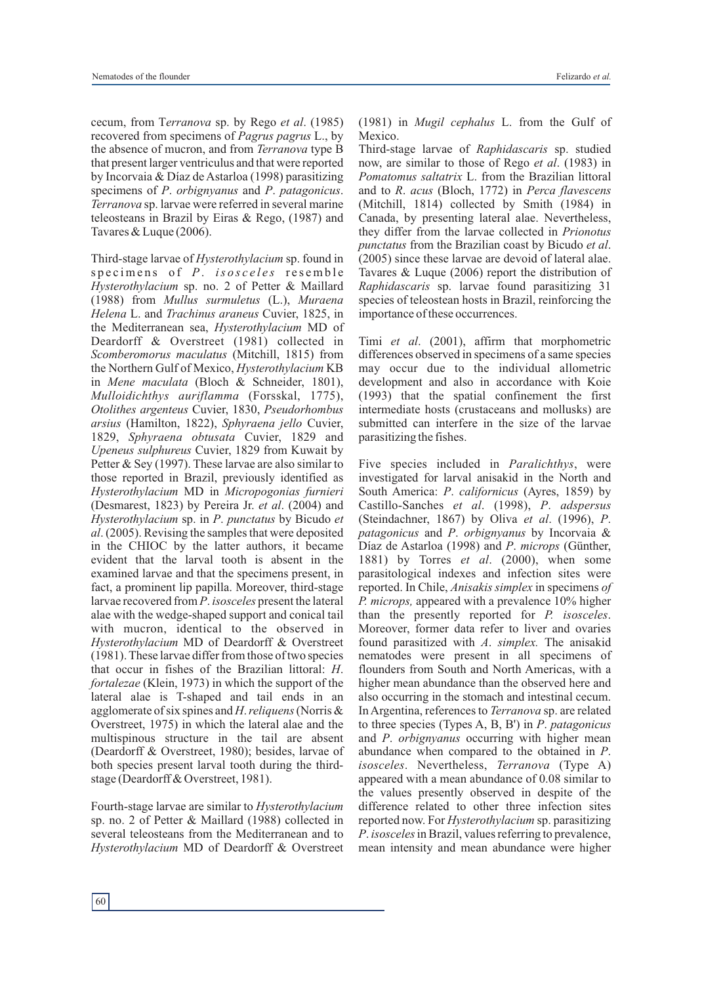cecum, from T*erranova* sp. by Rego *et al*. (1985) recovered from specimens of *Pagrus pagrus* L., by the absence of mucron, and from *Terranova* type B that present larger ventriculus and that were reported by Incorvaia & Díaz de Astarloa (1998) parasitizing specimens of *P*. *orbignyanus* and *P*. *patagonicus*. *Terranova* sp. larvae were referred in several marine teleosteans in Brazil by Eiras & Rego, (1987) and Tavares & Luque (2006).

Third-stage larvae of *Hysterothylacium* sp. found in specimens of *P. isosceles* resemble *Hysterothylacium* sp. no. 2 of Petter & Maillard (1988) from *Mullus surmuletus* (L.), *Muraena Helena* L. and *Trachinus araneus* Cuvier, 1825, in the Mediterranean sea, *Hysterothylacium* MD of Deardorff & Overstreet (1981) collected in *Scomberomorus maculatus* (Mitchill, 1815) from the Northern Gulf of Mexico, *Hysterothylacium* KB in *Mene maculata* (Bloch & Schneider, 1801), *Mulloidichthys auriflamma* (Forsskal, 1775), *Otolithes argenteus* Cuvier, 1830, *Pseudorhombus arsius* (Hamilton, 1822), *Sphyraena jello* Cuvier, 1829, *Sphyraena obtusata* Cuvier, 1829 and *Upeneus sulphureus* Cuvier, 1829 from Kuwait by Petter & Sey (1997). These larvae are also similar to those reported in Brazil, previously identified as *Hysterothylacium* MD in *Micropogonias furnieri* (Desmarest, 1823) by Pereira Jr. *et al*. (2004) and *Hysterothylacium* sp. in *P*. *punctatus* by Bicudo *et al*. (2005). Revising the samples that were deposited in the CHIOC by the latter authors, it became evident that the larval tooth is absent in the examined larvae and that the specimens present, in fact, a prominent lip papilla. Moreover, third-stage larvae recovered from *P*. *isosceles* present the lateral alae with the wedge-shaped support and conical tail with mucron, identical to the observed in *Hysterothylacium* MD of Deardorff & Overstreet (1981). These larvae differ from those of two species that occur in fishes of the Brazilian littoral: *H*. *fortalezae* (Klein, 1973) in which the support of the lateral alae is T-shaped and tail ends in an agglomerate of six spines and *H*.*reliquens*(Norris & Overstreet, 1975) in which the lateral alae and the multispinous structure in the tail are absent (Deardorff & Overstreet, 1980); besides, larvae of both species present larval tooth during the thirdstage (Deardorff & Overstreet, 1981).

Fourth-stage larvae are similar to *Hysterothylacium*  sp. no. 2 of Petter & Maillard (1988) collected in several teleosteans from the Mediterranean and to *Hysterothylacium* MD of Deardorff & Overstreet

60

(1981) in *Mugil cephalus* L. from the Gulf of Mexico.

Third-stage larvae of *Raphidascaris* sp. studied now, are similar to those of Rego *et al*. (1983) in *Pomatomus saltatrix* L. from the Brazilian littoral and to *R*. *acus* (Bloch, 1772) in *Perca flavescens* (Mitchill, 1814) collected by Smith (1984) in Canada, by presenting lateral alae. Nevertheless, they differ from the larvae collected in *Prionotus punctatus* from the Brazilian coast by Bicudo *et al*. (2005) since these larvae are devoid of lateral alae. Tavares & Luque (2006) report the distribution of *Raphidascaris* sp. larvae found parasitizing 31 species of teleostean hosts in Brazil, reinforcing the importance of these occurrences.

Timi *et al*. (2001), affirm that morphometric differences observed in specimens of a same species may occur due to the individual allometric development and also in accordance with Koie (1993) that the spatial confinement the first intermediate hosts (crustaceans and mollusks) are submitted can interfere in the size of the larvae parasitizing the fishes.

Five species included in *Paralichthys*, were investigated for larval anisakid in the North and South America: *P*. *californicus* (Ayres, 1859) by Castillo-Sanches *et al*. (1998), *P*. *adspersus* (Steindachner, 1867) by Oliva *et al*. (1996), *P*. *patagonicus* and *P*. *orbignyanus* by Incorvaia & Díaz de Astarloa (1998) and *P*. *microps* (Günther, 1881) by Torres *et al*. (2000), when some parasitological indexes and infection sites were reported. In Chile, *Anisakis simplex* in specimens *of P. microps,* appeared with a prevalence 10% higher than the presently reported for *P. isosceles*. Moreover, former data refer to liver and ovaries found parasitized with *A*. *simplex.* The anisakid nematodes were present in all specimens of flounders from South and North Americas, with a higher mean abundance than the observed here and also occurring in the stomach and intestinal cecum. In Argentina, references to *Terranova* sp. are related to three species (Types A, B, B') in *P*. *patagonicus* and *P*. *orbignyanus* occurring with higher mean abundance when compared to the obtained in *P*. *isosceles*. Nevertheless, *Terranova* (Type A) appeared with a mean abundance of 0.08 similar to the values presently observed in despite of the difference related to other three infection sites reported now. For *Hysterothylacium* sp. parasitizing *P*. *isosceles* in Brazil, values referring to prevalence, mean intensity and mean abundance were higher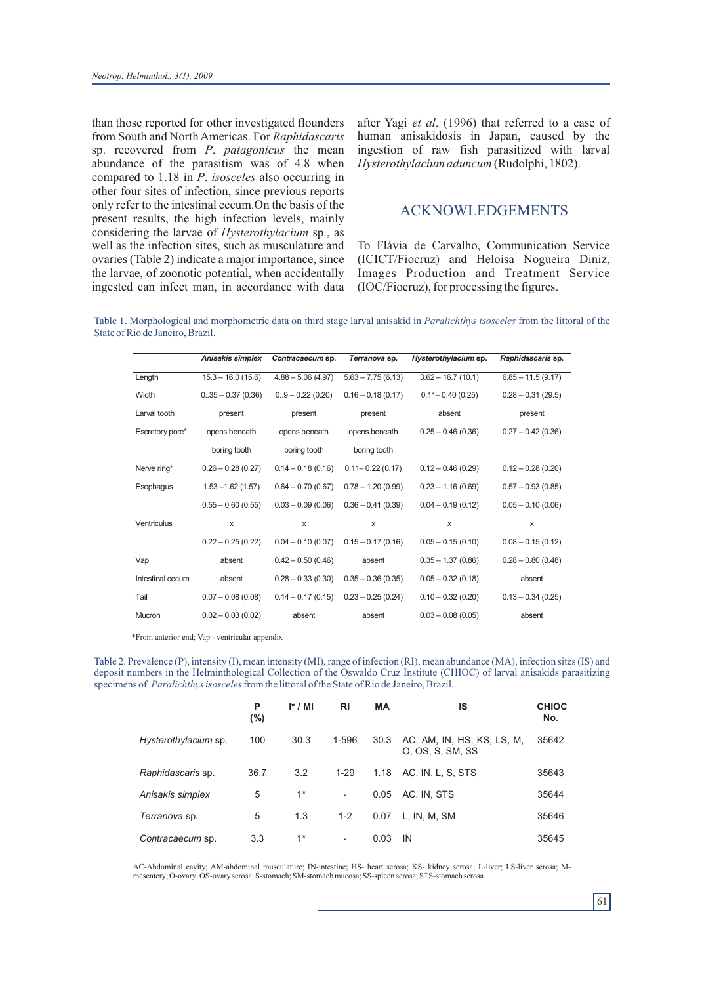than those reported for other investigated flounders from South and North Americas. For *Raphidascaris* sp. recovered from *P*. *patagonicus* the mean abundance of the parasitism was of 4.8 when compared to 1.18 in *P*. *isosceles* also occurring in other four sites of infection, since previous reports only refer to the intestinal cecum.On the basis of the present results, the high infection levels, mainly considering the larvae of *Hysterothylacium* sp., as well as the infection sites, such as musculature and ovaries (Table 2) indicate a major importance, since the larvae, of zoonotic potential, when accidentally ingested can infect man, in accordance with data

after Yagi *et al*. (1996) that referred to a case of human anisakidosis in Japan, caused by the ingestion of raw fish parasitized with larval *Hysterothylacium aduncum* (Rudolphi, 1802).

#### ACKNOWLEDGEMENTS

To Flávia de Carvalho, Communication Service (ICICT/Fiocruz) and Heloisa Nogueira Diniz, Images Production and Treatment Service (IOC/Fiocruz), for processing the figures.

Table 1. Morphological and morphometric data on third stage larval anisakid in *Paralichthys isosceles* from the littoral of the State of Rio de Janeiro, Brazil.

|                  | Anisakis simplex     | Contracaecum sp.    | Terranova sp.        | Hysterothylacium sp. | Raphidascaris sp.    |
|------------------|----------------------|---------------------|----------------------|----------------------|----------------------|
| Length           | $15.3 - 16.0(15.6)$  | $4.88 - 5.06(4.97)$ | $5.63 - 7.75(6.13)$  | $3.62 - 16.7(10.1)$  | $6.85 - 11.5(9.17)$  |
| Width            | $0.35 - 0.37(0.36)$  | $0.9 - 0.22(0.20)$  | $0.16 - 0.18(0.17)$  | $0.11 - 0.40$ (0.25) | $0.28 - 0.31(29.5)$  |
| Larval tooth     | present              | present             | present              | absent               | present              |
| Escretory pore*  | opens beneath        | opens beneath       | opens beneath        | $0.25 - 0.46(0.36)$  | $0.27 - 0.42$ (0.36) |
|                  | boring tooth         | boring tooth        | boring tooth         |                      |                      |
| Nerve ring*      | $0.26 - 0.28(0.27)$  | $0.14 - 0.18(0.16)$ | $0.11 - 0.22$ (0.17) | $0.12 - 0.46(0.29)$  | $0.12 - 0.28(0.20)$  |
| Esophagus        | $1.53 - 1.62(1.57)$  | $0.64 - 0.70(0.67)$ | $0.78 - 1.20(0.99)$  | $0.23 - 1.16(0.69)$  | $0.57 - 0.93(0.85)$  |
|                  | $0.55 - 0.60$ (0.55) | $0.03 - 0.09(0.06)$ | $0.36 - 0.41(0.39)$  | $0.04 - 0.19(0.12)$  | $0.05 - 0.10(0.06)$  |
| Ventriculus      | X                    | X                   | X                    | X                    | X                    |
|                  | $0.22 - 0.25(0.22)$  | $0.04 - 0.10(0.07)$ | $0.15 - 0.17(0.16)$  | $0.05 - 0.15(0.10)$  | $0.08 - 0.15(0.12)$  |
| Vap              | absent               | $0.42 - 0.50(0.46)$ | absent               | $0.35 - 1.37(0.86)$  | $0.28 - 0.80$ (0.48) |
| Intestinal cecum | absent               | $0.28 - 0.33(0.30)$ | $0.35 - 0.36(0.35)$  | $0.05 - 0.32(0.18)$  | absent               |
| Tail             | $0.07 - 0.08(0.08)$  | $0.14 - 0.17(0.15)$ | $0.23 - 0.25(0.24)$  | $0.10 - 0.32(0.20)$  | $0.13 - 0.34(0.25)$  |
| Mucron           | $0.02 - 0.03(0.02)$  | absent              | absent               | $0.03 - 0.08(0.05)$  | absent               |

\*From anterior end; Vap - ventricular appendix

Table 2. Prevalence (P), intensity (I), mean intensity (MI), range of infection (RI), mean abundance (MA), infection sites (IS) and deposit numbers in the Helminthological Collection of the Oswaldo Cruz Institute (CHIOC) of larval anisakids parasitizing specimens of *Paralichthys isosceles* from the littoral of the State of Rio de Janeiro, Brazil.

|                      | P<br>(%) | $I^* / M$ | RI                       | <b>MA</b> | IS                                             | <b>CHIOC</b><br>No. |
|----------------------|----------|-----------|--------------------------|-----------|------------------------------------------------|---------------------|
| Hysterothylacium sp. | 100      | 30.3      | 1-596                    | 30.3      | AC, AM, IN, HS, KS, LS, M,<br>O. OS. S. SM, SS | 35642               |
| Raphidascaris sp.    | 36.7     | 3.2       | $1 - 29$                 | 1.18      | AC, IN, L, S, STS                              | 35643               |
| Anisakis simplex     | 5        | $1^*$     | $\overline{\phantom{a}}$ | 0.05      | AC, IN, STS                                    | 35644               |
| Terranova sp.        | 5        | 1.3       | $1 - 2$                  | 0.07      | L, IN, M, SM                                   | 35646               |
| Contracaecum sp.     | 3.3      | $1^*$     | $\overline{\phantom{a}}$ | 0.03      | IN                                             | 35645               |

AC-Abdominal cavity; AM-abdominal musculature; IN-intestine; HS- heart serosa; KS- kidney serosa; L-liver; LS-liver serosa; Mmesentery; O-ovary; OS-ovary serosa; S-stomach; SM-stomach mucosa; SS-spleen serosa; STS-stomach serosa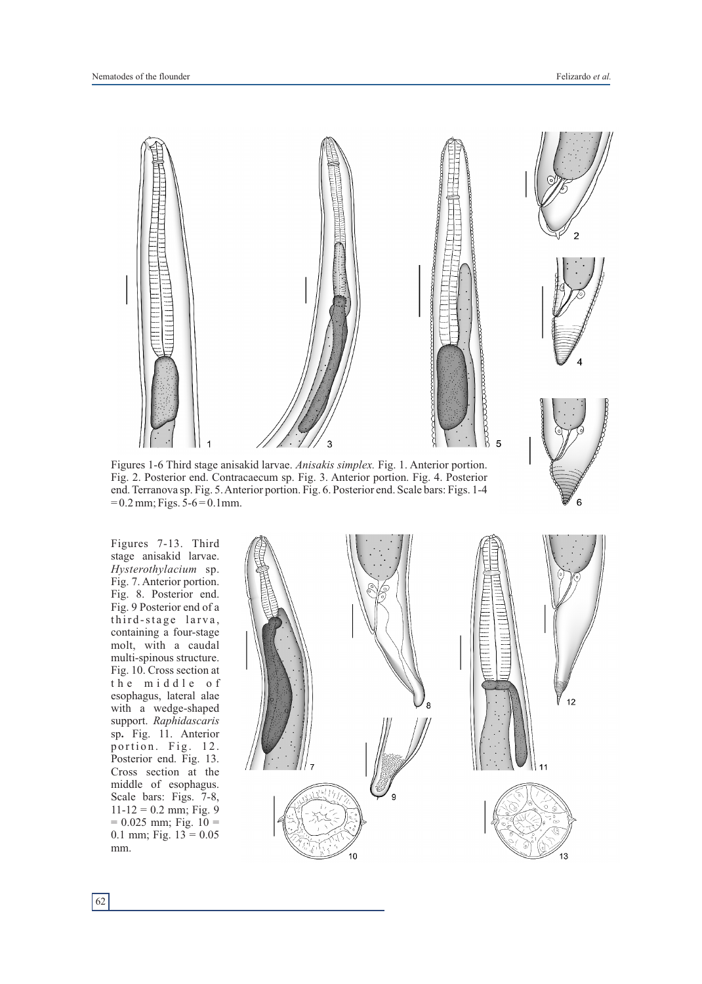6



Figures 1-6 Third stage anisakid larvae. *Anisakis simplex.* Fig. 1. Anterior portion. Fig. 2. Posterior end. Contracaecum sp. Fig. 3. Anterior portion. Fig. 4. Posterior end. Terranova sp. Fig. 5. Anterior portion. Fig. 6. Posterior end. Scale bars: Figs. 1-4  $= 0.2$  mm; Figs. 5-6  $= 0.1$  mm.

Figures 7-13. Third stage anisakid larvae. *Hysterothylacium* sp. Fig. 7. Anterior portion. Fig. 8. Posterior end. Fig. 9 Posterior end of a third-stage larva, containing a four-stage molt, with a caudal multi-spinous structure. Fig. 10. Cross section at the middle of esophagus, lateral alae with a wedge-shaped support. *Raphidascaris* sp**.** Fig. 11. Anterior portion. Fig. 12. Posterior end. Fig. 13. Cross section at the middle of esophagus. Scale bars: Figs. 7-8,  $11-12 = 0.2$  mm; Fig. 9  $= 0.025$  mm; Fig. 10  $=$ 0.1 mm; Fig.  $13 = 0.05$ mm.

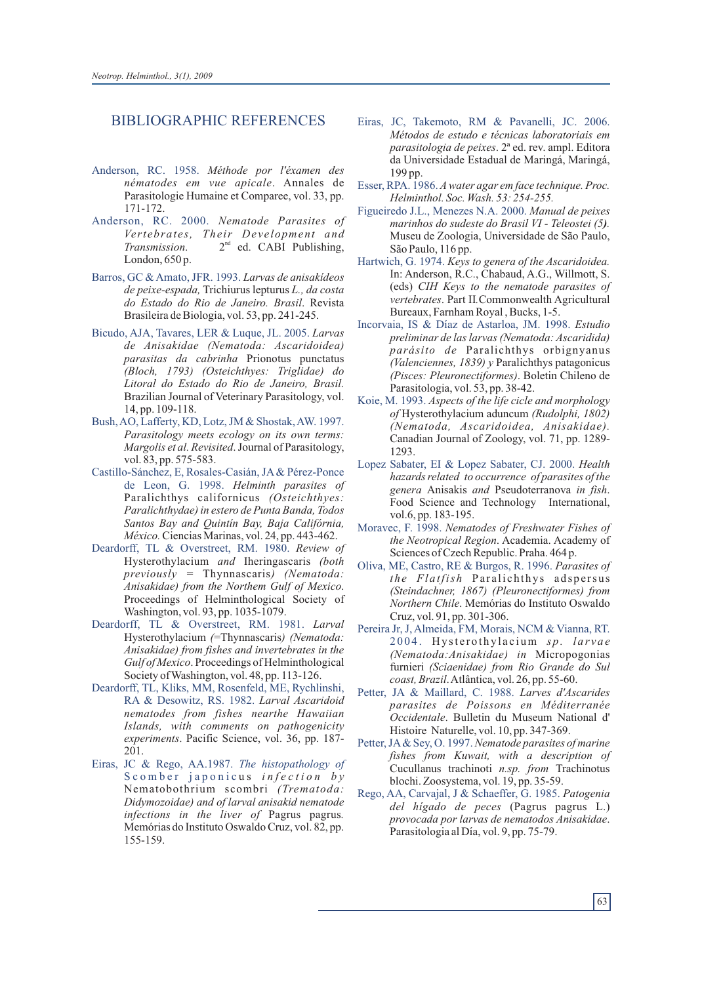#### BIBLIOGRAPHIC REFERENCES

- Anderson, RC. 1958. *Méthode por l'éxamen des nématodes em vue apicale*. Annales de Parasitologie Humaine et Comparee, vol. 33, pp. 171-172.
- Anderson, RC. 2000. *Nematode Parasites of Vertebrates, Their Development and* Transmission. 2<sup>nd</sup> ed. CABI Publishing, London, 650 p.
- Barros, GC & Amato, JFR. 1993. *Larvas de anisakídeos de peixe-espada,* Trichiurus lepturus*L., da costa do Estado do Rio de Janeiro. Brasil*. Revista Brasileira de Biologia, vol. 53, pp. 241-245.
- Bicudo, AJA, Tavares, LER & Luque, JL. 2005. *Larvas de Anisakidae (Nematoda: Ascaridoidea) parasitas da cabrinha* Prionotus punctatus *(Bloch, 1793) (Osteichthyes: Triglidae) do Litoral do Estado do Rio de Janeiro, Brasil.* Brazilian Journal of Veterinary Parasitology, vol. 14, pp. 109-118.
- Bush, AO, Lafferty, KD, Lotz, JM & Shostak, AW. 1997. *Parasitology meets ecology on its own terms: Margolis et al. Revisited*.Journal of Parasitology, vol. 83, pp. 575-583.
- Castillo-Sánchez, E, Rosales-Casián, JA& Pérez-Ponce de Leon, G. 1998. *Helminth parasites of*  Paralichthys californicus *(Osteichthyes: Paralichthydae) in estero de Punta Banda, Todos Santos Bay and Quintín Bay, Baja Califórnia, México.*Ciencias Marinas, vol. 24, pp. 443-462.
- Deardorff, TL & Overstreet, RM. 1980. *Review of*  Hysterothylacium *and* Iheringascaris *(both previously =* Thynnascaris*) (Nematoda: Anisakidae) from the Northem Gulf of Mexico*. Proceedings of Helminthological Society of Washington, vol. 93, pp. 1035-1079.
- Deardorff, TL & Overstreet, RM. 1981. *Larval* Hysterothylacium *(*=Thynnascaris*) (Nematoda: Anisakidae) from fishes and invertebrates in the Gulf of Mexico*. Proceedings of Helminthological Society of Washington, vol. 48, pp. 113-126.
- Deardorff, TL, Kliks, MM, Rosenfeld, ME, Rychlinshi, RA & Desowitz, RS. 1982. *Larval Ascaridoid nematodes from fishes nearthe Hawaiian Islands, with comments on pathogenicity experiments*. Pacific Science, vol. 36, pp. 187- 201.
- Eiras, JC & Rego, AA.1987. *The histopathology of*  Scomber japonicus *infection* by Nematobothrium scombri *(Trematoda: Didymozoidae) and of larval anisakid nematode infections in the liver of* Pagrus pagrus*.* Memórias do Instituto Oswaldo Cruz, vol. 82, pp. 155-159.
- Eiras, JC, Takemoto, RM & Pavanelli, JC. 2006. *Métodos de estudo e técnicas laboratoriais em parasitologia de peixes*. 2ª ed. rev. ampl. Editora da Universidade Estadual de Maringá, Maringá, 199 pp.
- Esser, RPA. 1986. *Awater agar em face technique. Proc. Helminthol. Soc. Wash. 53: 254-255.*
- Figueiredo J.L., Menezes N.A. 2000. *Manual de peixes marinhos do sudeste do Brasil VI - Teleostei (5).* Museu de Zoologia, Universidade de São Paulo, São Paulo, 116 pp.
- Hartwich, G. 1974. *Keys to genera of the Ascaridoidea.*  In: Anderson, R.C., Chabaud, A.G., Willmott, S. (eds) *CIH Keys to the nematode parasites of vertebrates*. Part II*.*Commonwealth Agricultural Bureaux, Farnham Royal , Bucks, 1-5.
- Incorvaia, IS & Díaz de Astarloa, JM. 1998. *Estudio preliminar de las larvas (Nematoda: Ascaridida) parásito de* Paralichthys orbignyanus *(Valenciennes, 1839) y* Paralichthys patagonicus *(Pisces: Pleuronectiformes)*. Boletin Chileno de Parasitologia, vol. 53, pp. 38-42.
- Koie, M. 1993. *Aspects of the life cicle and morphology of* Hysterothylacium aduncum *(Rudolphi, 1802) (Nematoda, Ascaridoidea, Anisakidae).* Canadian Journal of Zoology, vol. 71, pp. 1289- 1293.
- Lopez Sabater, EI & Lopez Sabater, CJ. 2000. *Health hazards related to occurrence of parasites of the genera* Anisakis *and* Pseudoterranova *in fish*. Food Science and Technology International, vol.6, pp. 183-195.
- Moravec, F. 1998. *Nematodes of Freshwater Fishes of the Neotropical Region*. Academia. Academy of Sciences of Czech Republic. Praha. 464 p.
- Oliva, ME, Castro, RE & Burgos, R. 1996. *Parasites of the Flatfish* Paralichthys adspersus *(Steindachner, 1867) (Pleuronectiformes) from Northern Chile*. Memórias do Instituto Oswaldo Cruz, vol. 91, pp. 301-306.
- Pereira Jr, J, Almeida, FM, Morais, NCM & Vianna, RT. 2004. Hysterothylacium sp. larvae *(Nematoda:Anisakidae) in* Micropogonias furnieri *(Sciaenidae) from Rio Grande do Sul coast, Brazil*. Atlântica, vol. 26, pp. 55-60.
- Petter, JA & Maillard, C. 1988. *Larves d'Ascarides parasites de Poissons en Méditerranée Occidentale*. Bulletin du Museum National d' Histoire Naturelle, vol. 10, pp. 347-369.
- Petter, JA& Sey, O. 1997. *Nematode parasites of marine fishes from Kuwait, with a description of*  Cucullanus trachinoti *n.sp. from* Trachinotus blochi. Zoosystema, vol. 19, pp. 35-59.
- Rego, AA, Carvajal, J & Schaeffer, G. 1985. *Patogenia del hígado de peces* (Pagrus pagrus L.) *provocada por larvas de nematodos Anisakidae*. Parasitologia al Día, vol. 9, pp. 75-79.